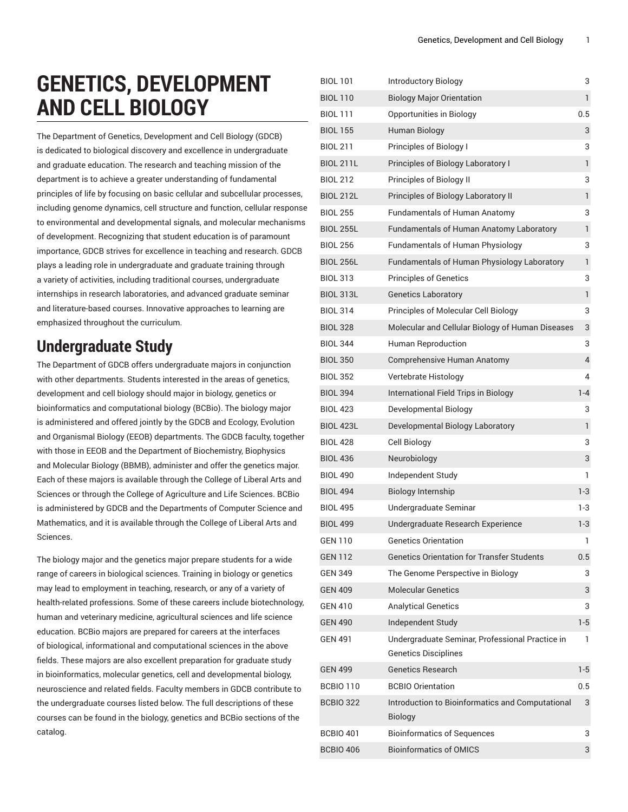# **GENETICS, DEVELOPMENT AND CELL BIOLOGY**

The Department of Genetics, Development and Cell Biology (GDCB) is dedicated to biological discovery and excellence in undergraduate and graduate education. The research and teaching mission of the department is to achieve a greater understanding of fundamental principles of life by focusing on basic cellular and subcellular processes, including genome dynamics, cell structure and function, cellular response to environmental and developmental signals, and molecular mechanisms of development. Recognizing that student education is of paramount importance, GDCB strives for excellence in teaching and research. GDCB plays a leading role in undergraduate and graduate training through a variety of activities, including traditional courses, undergraduate internships in research laboratories, and advanced graduate seminar and literature-based courses. Innovative approaches to learning are emphasized throughout the curriculum.

## **Undergraduate Study**

The Department of GDCB offers undergraduate majors in conjunction with other departments. Students interested in the areas of genetics, development and cell biology should major in biology, genetics or bioinformatics and computational biology (BCBio). The biology major is administered and offered jointly by the GDCB and Ecology, Evolution and Organismal Biology (EEOB) departments. The GDCB faculty, together with those in EEOB and the Department of Biochemistry, Biophysics and Molecular Biology (BBMB), administer and offer the genetics major. Each of these majors is available through the College of Liberal Arts and Sciences or through the College of Agriculture and Life Sciences. BCBio is administered by GDCB and the Departments of Computer Science and Mathematics, and it is available through the College of Liberal Arts and Sciences.

The biology major and the genetics major prepare students for a wide range of careers in biological sciences. Training in biology or genetics may lead to employment in teaching, research, or any of a variety of health-related professions. Some of these careers include biotechnology, human and veterinary medicine, agricultural sciences and life science education. BCBio majors are prepared for careers at the interfaces of biological, informational and computational sciences in the above fields. These majors are also excellent preparation for graduate study in bioinformatics, molecular genetics, cell and developmental biology, neuroscience and related fields. Faculty members in GDCB contribute to the undergraduate courses listed below. The full descriptions of these courses can be found in the biology, genetics and BCBio sections of the catalog.

| <b>BIOL 101</b>  | <b>Introductory Biology</b>                                        | 3       |
|------------------|--------------------------------------------------------------------|---------|
| <b>BIOL 110</b>  | <b>Biology Major Orientation</b>                                   | 1       |
| <b>BIOL 111</b>  | Opportunities in Biology                                           | 0.5     |
| <b>BIOL 155</b>  | Human Biology                                                      | 3       |
| <b>BIOL 211</b>  | Principles of Biology I                                            | 3       |
| <b>BIOL 211L</b> | Principles of Biology Laboratory I                                 | 1       |
| <b>BIOL 212</b>  | Principles of Biology II                                           | 3       |
| <b>BIOL 212L</b> | Principles of Biology Laboratory II                                | 1       |
| <b>BIOL 255</b>  | <b>Fundamentals of Human Anatomy</b>                               | 3       |
| <b>BIOL 255L</b> | Fundamentals of Human Anatomy Laboratory                           | 1       |
| <b>BIOL 256</b>  | <b>Fundamentals of Human Physiology</b>                            | 3       |
| <b>BIOL 256L</b> | Fundamentals of Human Physiology Laboratory                        | 1       |
| <b>BIOL 313</b>  | <b>Principles of Genetics</b>                                      | 3       |
| <b>BIOL 313L</b> | <b>Genetics Laboratory</b>                                         | 1       |
| <b>BIOL 314</b>  | Principles of Molecular Cell Biology                               | 3       |
| <b>BIOL 328</b>  | Molecular and Cellular Biology of Human Diseases                   | 3       |
| <b>BIOL 344</b>  | <b>Human Reproduction</b>                                          | 3       |
| <b>BIOL 350</b>  | Comprehensive Human Anatomy                                        | 4       |
| <b>BIOL 352</b>  | Vertebrate Histology                                               | 4       |
| <b>BIOL 394</b>  | International Field Trips in Biology                               | $1 - 4$ |
| <b>BIOL 423</b>  | Developmental Biology                                              | 3       |
| <b>BIOL 423L</b> | Developmental Biology Laboratory                                   | 1       |
| <b>BIOL 428</b>  | Cell Biology                                                       | 3       |
| <b>BIOL 436</b>  | Neurobiology                                                       | 3       |
| <b>BIOL 490</b>  | Independent Study                                                  | 1       |
| <b>BIOL 494</b>  | <b>Biology Internship</b>                                          | 1-3     |
| <b>BIOL 495</b>  | Undergraduate Seminar                                              | 1-3     |
| <b>BIOL 499</b>  | Undergraduate Research Experience                                  | $1-3$   |
| GEN 110          | <b>Genetics Orientation</b>                                        | L       |
| <b>GEN 112</b>   | <b>Genetics Orientation for Transfer Students</b>                  | 0.5     |
| GEN 349          | The Genome Perspective in Biology                                  | 3       |
| <b>GEN 409</b>   | <b>Molecular Genetics</b>                                          | 3       |
| <b>GEN 410</b>   | <b>Analytical Genetics</b>                                         | 3       |
| <b>GEN 490</b>   | Independent Study                                                  | 1-5     |
| <b>GEN 491</b>   | Undergraduate Seminar, Professional Practice in                    | 1       |
|                  | <b>Genetics Disciplines</b>                                        |         |
| <b>GEN 499</b>   | <b>Genetics Research</b>                                           | $1-5$   |
| <b>BCBIO 110</b> | <b>BCBIO Orientation</b>                                           | 0.5     |
| <b>BCBIO 322</b> | Introduction to Bioinformatics and Computational<br><b>Biology</b> | 3       |
| <b>BCBIO 401</b> | <b>Bioinformatics of Sequences</b>                                 | 3       |
| <b>BCBIO 406</b> | <b>Bioinformatics of OMICS</b>                                     | 3       |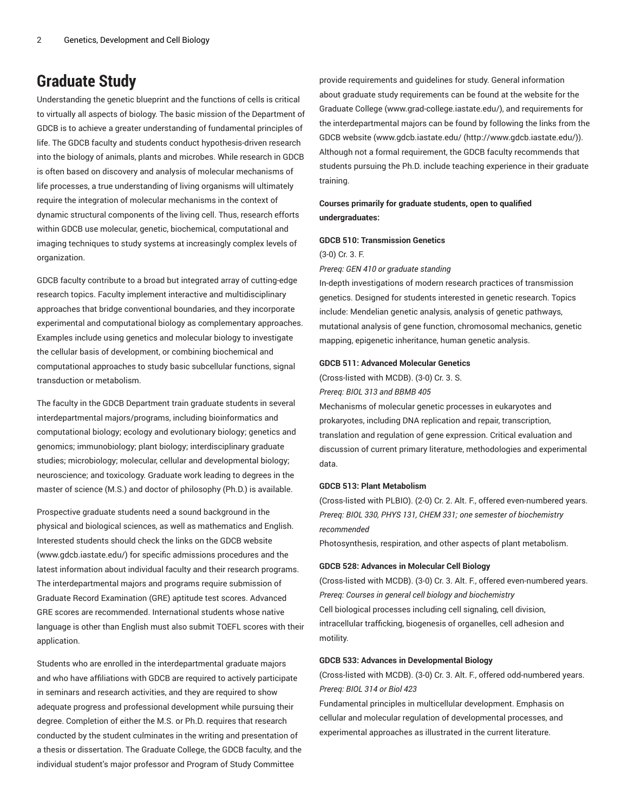## **Graduate Study**

Understanding the genetic blueprint and the functions of cells is critical to virtually all aspects of biology. The basic mission of the Department of GDCB is to achieve a greater understanding of fundamental principles of life. The GDCB faculty and students conduct hypothesis-driven research into the biology of animals, plants and microbes. While research in GDCB is often based on discovery and analysis of molecular mechanisms of life processes, a true understanding of living organisms will ultimately require the integration of molecular mechanisms in the context of dynamic structural components of the living cell. Thus, research efforts within GDCB use molecular, genetic, biochemical, computational and imaging techniques to study systems at increasingly complex levels of organization.

GDCB faculty contribute to a broad but integrated array of cutting-edge research topics. Faculty implement interactive and multidisciplinary approaches that bridge conventional boundaries, and they incorporate experimental and computational biology as complementary approaches. Examples include using genetics and molecular biology to investigate the cellular basis of development, or combining biochemical and computational approaches to study basic subcellular functions, signal transduction or metabolism.

The faculty in the GDCB Department train graduate students in several interdepartmental majors/programs, including bioinformatics and computational biology; ecology and evolutionary biology; genetics and genomics; immunobiology; plant biology; interdisciplinary graduate studies; microbiology; molecular, cellular and developmental biology; neuroscience; and toxicology. Graduate work leading to degrees in the master of science (M.S.) and doctor of philosophy (Ph.D.) is available.

Prospective graduate students need a sound background in the physical and biological sciences, as well as mathematics and English. Interested students should check the links on the GDCB website (www.gdcb.iastate.edu/) for specific admissions procedures and the latest information about individual faculty and their research programs. The interdepartmental majors and programs require submission of Graduate Record Examination (GRE) aptitude test scores. Advanced GRE scores are recommended. International students whose native language is other than English must also submit TOEFL scores with their application.

Students who are enrolled in the interdepartmental graduate majors and who have affiliations with GDCB are required to actively participate in seminars and research activities, and they are required to show adequate progress and professional development while pursuing their degree. Completion of either the M.S. or Ph.D. requires that research conducted by the student culminates in the writing and presentation of a thesis or dissertation. The Graduate College, the GDCB faculty, and the individual student's major professor and Program of Study Committee

provide requirements and guidelines for study. General information about graduate study requirements can be found at the website for the Graduate College (www.grad-college.iastate.edu/), and requirements for the interdepartmental majors can be found by following the links from the GDCB website ([www.gdcb.iastate.edu/](http://www.gdcb.iastate.edu/) (<http://www.gdcb.iastate.edu/>)). Although not a formal requirement, the GDCB faculty recommends that students pursuing the Ph.D. include teaching experience in their graduate training.

## **Courses primarily for graduate students, open to qualified undergraduates:**

#### **GDCB 510: Transmission Genetics**

#### (3-0) Cr. 3. F.

#### *Prereq: GEN 410 or graduate standing*

In-depth investigations of modern research practices of transmission genetics. Designed for students interested in genetic research. Topics include: Mendelian genetic analysis, analysis of genetic pathways, mutational analysis of gene function, chromosomal mechanics, genetic mapping, epigenetic inheritance, human genetic analysis.

#### **GDCB 511: Advanced Molecular Genetics**

(Cross-listed with MCDB). (3-0) Cr. 3. S.

#### *Prereq: BIOL 313 and BBMB 405*

Mechanisms of molecular genetic processes in eukaryotes and prokaryotes, including DNA replication and repair, transcription, translation and regulation of gene expression. Critical evaluation and discussion of current primary literature, methodologies and experimental data.

#### **GDCB 513: Plant Metabolism**

(Cross-listed with PLBIO). (2-0) Cr. 2. Alt. F., offered even-numbered years. *Prereq: BIOL 330, PHYS 131, CHEM 331; one semester of biochemistry recommended*

Photosynthesis, respiration, and other aspects of plant metabolism.

#### **GDCB 528: Advances in Molecular Cell Biology**

(Cross-listed with MCDB). (3-0) Cr. 3. Alt. F., offered even-numbered years. *Prereq: Courses in general cell biology and biochemistry* Cell biological processes including cell signaling, cell division, intracellular trafficking, biogenesis of organelles, cell adhesion and motility.

#### **GDCB 533: Advances in Developmental Biology**

(Cross-listed with MCDB). (3-0) Cr. 3. Alt. F., offered odd-numbered years. *Prereq: BIOL 314 or Biol 423*

Fundamental principles in multicellular development. Emphasis on cellular and molecular regulation of developmental processes, and experimental approaches as illustrated in the current literature.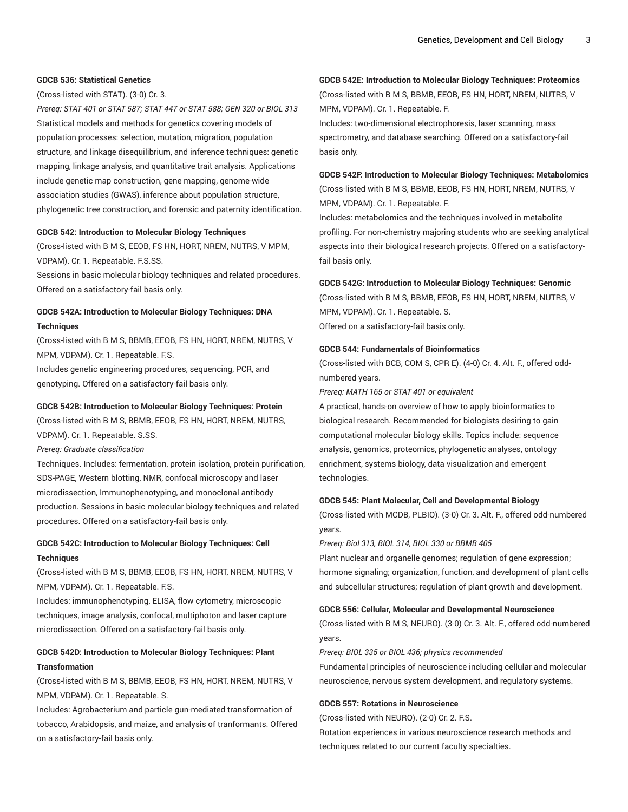#### **GDCB 536: Statistical Genetics**

(Cross-listed with STAT). (3-0) Cr. 3.

*Prereq: STAT 401 or STAT 587; STAT 447 or STAT 588; GEN 320 or BIOL 313* Statistical models and methods for genetics covering models of population processes: selection, mutation, migration, population structure, and linkage disequilibrium, and inference techniques: genetic mapping, linkage analysis, and quantitative trait analysis. Applications include genetic map construction, gene mapping, genome-wide association studies (GWAS), inference about population structure, phylogenetic tree construction, and forensic and paternity identification.

#### **GDCB 542: Introduction to Molecular Biology Techniques**

(Cross-listed with B M S, EEOB, FS HN, HORT, NREM, NUTRS, V MPM, VDPAM). Cr. 1. Repeatable. F.S.SS.

Sessions in basic molecular biology techniques and related procedures. Offered on a satisfactory-fail basis only.

### **GDCB 542A: Introduction to Molecular Biology Techniques: DNA Techniques**

(Cross-listed with B M S, BBMB, EEOB, FS HN, HORT, NREM, NUTRS, V MPM, VDPAM). Cr. 1. Repeatable. F.S.

Includes genetic engineering procedures, sequencing, PCR, and genotyping. Offered on a satisfactory-fail basis only.

## **GDCB 542B: Introduction to Molecular Biology Techniques: Protein**

(Cross-listed with B M S, BBMB, EEOB, FS HN, HORT, NREM, NUTRS, VDPAM). Cr. 1. Repeatable. S.SS.

*Prereq: Graduate classification*

Techniques. Includes: fermentation, protein isolation, protein purification, SDS-PAGE, Western blotting, NMR, confocal microscopy and laser microdissection, Immunophenotyping, and monoclonal antibody production. Sessions in basic molecular biology techniques and related procedures. Offered on a satisfactory-fail basis only.

## **GDCB 542C: Introduction to Molecular Biology Techniques: Cell Techniques**

(Cross-listed with B M S, BBMB, EEOB, FS HN, HORT, NREM, NUTRS, V MPM, VDPAM). Cr. 1. Repeatable. F.S.

Includes: immunophenotyping, ELISA, flow cytometry, microscopic techniques, image analysis, confocal, multiphoton and laser capture microdissection. Offered on a satisfactory-fail basis only.

## **GDCB 542D: Introduction to Molecular Biology Techniques: Plant Transformation**

(Cross-listed with B M S, BBMB, EEOB, FS HN, HORT, NREM, NUTRS, V MPM, VDPAM). Cr. 1. Repeatable. S.

Includes: Agrobacterium and particle gun-mediated transformation of tobacco, Arabidopsis, and maize, and analysis of tranformants. Offered on a satisfactory-fail basis only.

## **GDCB 542E: Introduction to Molecular Biology Techniques: Proteomics**

(Cross-listed with B M S, BBMB, EEOB, FS HN, HORT, NREM, NUTRS, V MPM, VDPAM). Cr. 1. Repeatable. F.

Includes: two-dimensional electrophoresis, laser scanning, mass spectrometry, and database searching. Offered on a satisfactory-fail basis only.

## **GDCB 542F: Introduction to Molecular Biology Techniques: Metabolomics** (Cross-listed with B M S, BBMB, EEOB, FS HN, HORT, NREM, NUTRS, V

MPM, VDPAM). Cr. 1. Repeatable. F.

Includes: metabolomics and the techniques involved in metabolite profiling. For non-chemistry majoring students who are seeking analytical aspects into their biological research projects. Offered on a satisfactoryfail basis only.

#### **GDCB 542G: Introduction to Molecular Biology Techniques: Genomic**

(Cross-listed with B M S, BBMB, EEOB, FS HN, HORT, NREM, NUTRS, V MPM, VDPAM). Cr. 1. Repeatable. S. Offered on a satisfactory-fail basis only.

#### **GDCB 544: Fundamentals of Bioinformatics**

(Cross-listed with BCB, COM S, CPR E). (4-0) Cr. 4. Alt. F., offered oddnumbered years.

#### *Prereq: MATH 165 or STAT 401 or equivalent*

A practical, hands-on overview of how to apply bioinformatics to biological research. Recommended for biologists desiring to gain computational molecular biology skills. Topics include: sequence analysis, genomics, proteomics, phylogenetic analyses, ontology enrichment, systems biology, data visualization and emergent technologies.

#### **GDCB 545: Plant Molecular, Cell and Developmental Biology**

(Cross-listed with MCDB, PLBIO). (3-0) Cr. 3. Alt. F., offered odd-numbered years.

*Prereq: Biol 313, BIOL 314, BIOL 330 or BBMB 405*

Plant nuclear and organelle genomes; regulation of gene expression; hormone signaling; organization, function, and development of plant cells and subcellular structures; regulation of plant growth and development.

#### **GDCB 556: Cellular, Molecular and Developmental Neuroscience**

(Cross-listed with B M S, NEURO). (3-0) Cr. 3. Alt. F., offered odd-numbered years.

*Prereq: BIOL 335 or BIOL 436; physics recommended*

Fundamental principles of neuroscience including cellular and molecular neuroscience, nervous system development, and regulatory systems.

#### **GDCB 557: Rotations in Neuroscience**

(Cross-listed with NEURO). (2-0) Cr. 2. F.S.

Rotation experiences in various neuroscience research methods and techniques related to our current faculty specialties.